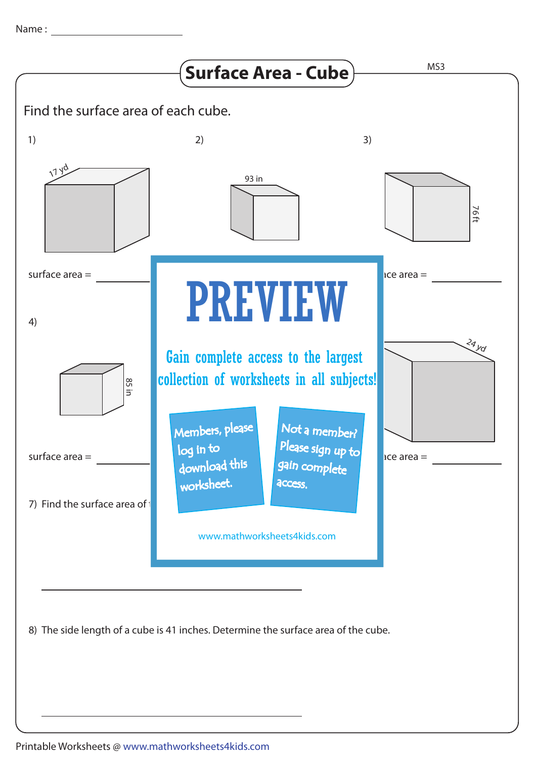